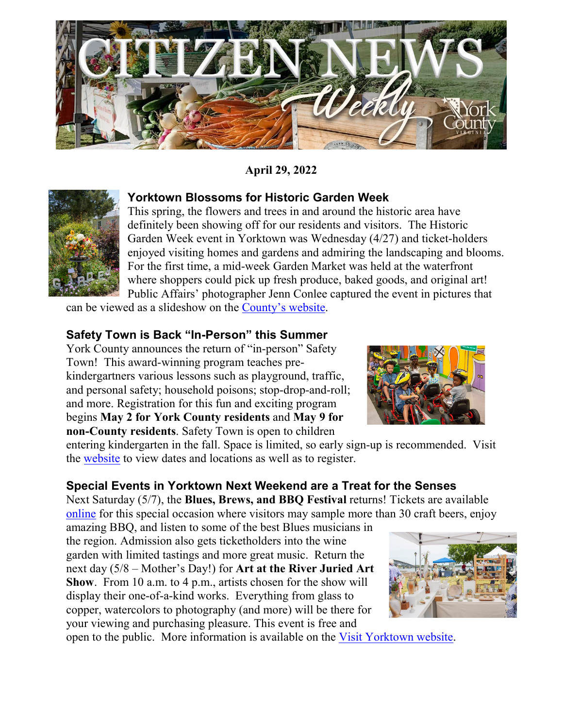

**April 29, 2022** 



**Yorktown Blossoms for Historic Garden Week** 

This spring, the flowers and trees in and around the historic area have definitely been showing off for our residents and visitors. The Historic Garden Week event in Yorktown was Wednesday (4/27) and ticket-holders enjoyed visiting homes and gardens and admiring the landscaping and blooms. For the first time, a mid-week Garden Market was held at the waterfront where shoppers could pick up fresh produce, baked goods, and original art! Public Affairs' photographer Jenn Conlee captured the event in pictures that

can be viewed as a slideshow on the [County's website.](https://www.yorkcounty.gov/2386/Citizen-News-Weekly)

#### **Safety Town is Back "In-Person" this Summer**

York County announces the return of "in-person" Safety Town! This award-winning program teaches prekindergartners various lessons such as playground, traffic, and personal safety; household poisons; stop-drop-and-roll; and more. Registration for this fun and exciting program begins **May 2 for York County residents** and **May 9 for non-County residents**. Safety Town is open to children



entering kindergarten in the fall. Space is limited, so early sign-up is recommended. Visit the [website](https://www.yorkcounty.gov/606/Program-Schedule) to view dates and locations as well as to register.

### **Special Events in Yorktown Next Weekend are a Treat for the Senses**

Next Saturday (5/7), the **Blues, Brews, and BBQ Festival** returns! Tickets are available [online](https://villageevents.org/blues-brews-bbq/) for this special occasion where visitors may sample more than 30 craft beers, enjoy

amazing BBQ, and listen to some of the best Blues musicians in the region. Admission also gets ticketholders into the wine garden with limited tastings and more great music. Return the next day (5/8 – Mother's Day!) for **Art at the River Juried Art Show**. From 10 a.m. to 4 p.m., artists chosen for the show will display their one-of-a-kind works. Everything from glass to copper, watercolors to photography (and more) will be there for your viewing and purchasing pleasure. This event is free and



open to the public. More information is available on the [Visit Yorktown website.](https://www.visityorktown.org/249/Art-at-the-River)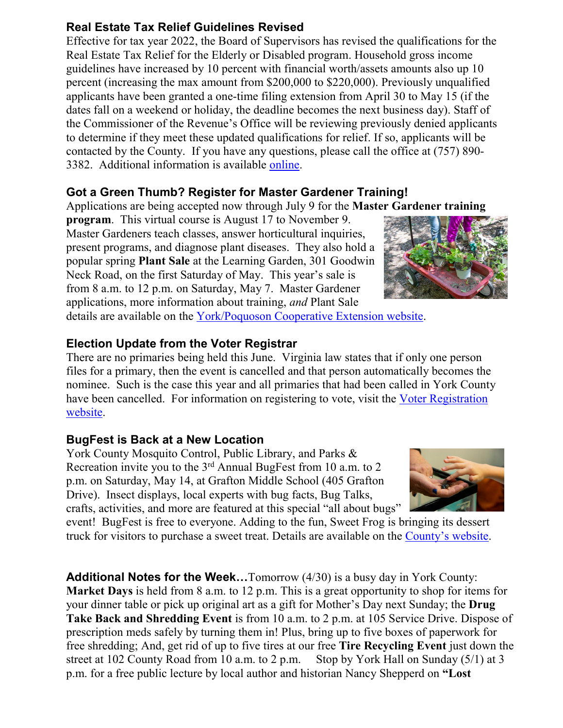### **Real Estate Tax Relief Guidelines Revised**

Effective for tax year 2022, the Board of Supervisors has revised the qualifications for the Real Estate Tax Relief for the Elderly or Disabled program. Household gross income guidelines have increased by 10 percent with financial worth/assets amounts also up 10 percent (increasing the max amount from \$200,000 to \$220,000). Previously unqualified applicants have been granted a one-time filing extension from April 30 to May 15 (if the dates fall on a weekend or holiday, the deadline becomes the next business day). Staff of the Commissioner of the Revenue's Office will be reviewing previously denied applicants to determine if they meet these updated qualifications for relief. If so, applicants will be contacted by the County. If you have any questions, please call the office at (757) 890- 3382. Additional information is available [online.](https://www.yorkcounty.gov/458/Commissioner-of-the-Revenue)

# **Got a Green Thumb? Register for Master Gardener Training!**

Applications are being accepted now through July 9 for the **Master Gardener training**

**program**. This virtual course is August 17 to November 9. Master Gardeners teach classes, answer horticultural inquiries, present programs, and diagnose plant diseases. They also hold a popular spring **Plant Sale** at the Learning Garden, 301 Goodwin Neck Road, on the first Saturday of May. This year's sale is from 8 a.m. to 12 p.m. on Saturday, May 7. Master Gardener applications, more information about training, *and* Plant Sale

details are available on the [York/Poquoson Cooperative Extension website.](https://www.yorkcounty.gov/1015/Virginia-Cooperative-Extension)

### **Election Update from the Voter Registrar**

There are no primaries being held this June. Virginia law states that if only one person files for a primary, then the event is cancelled and that person automatically becomes the nominee. Such is the case this year and all primaries that had been called in York County have been cancelled. For information on registering to vote, visit the Voter Registration [website.](https://www.yorkcounty.gov/357/Voter-Registration)

## **BugFest is Back at a New Location**

York County Mosquito Control, Public Library, and Parks & Recreation invite you to the 3<sup>rd</sup> Annual BugFest from 10 a.m. to 2 p.m. on Saturday, May 14, at Grafton Middle School (405 Grafton Drive). Insect displays, local experts with bug facts, Bug Talks, crafts, activities, and more are featured at this special "all about bugs"

event! BugFest is free to everyone. Adding to the fun, Sweet Frog is bringing its dessert truck for visitors to purchase a sweet treat. Details are available on the [County's website.](https://www.yorkcounty.gov/CivicAlerts.aspx?AID=2440)

**Additional Notes for the Week…**Tomorrow (4/30) is a busy day in York County: **Market Days** is held from 8 a.m. to 12 p.m. This is a great opportunity to shop for items for your dinner table or pick up original art as a gift for Mother's Day next Sunday; the **Drug Take Back and Shredding Event** is from 10 a.m. to 2 p.m. at 105 Service Drive. Dispose of prescription meds safely by turning them in! Plus, bring up to five boxes of paperwork for free shredding; And, get rid of up to five tires at our free **Tire Recycling Event** just down the street at 102 County Road from 10 a.m. to 2 p.m. Stop by York Hall on Sunday (5/1) at 3 p.m. for a free public lecture by local author and historian Nancy Shepperd on **"Lost**